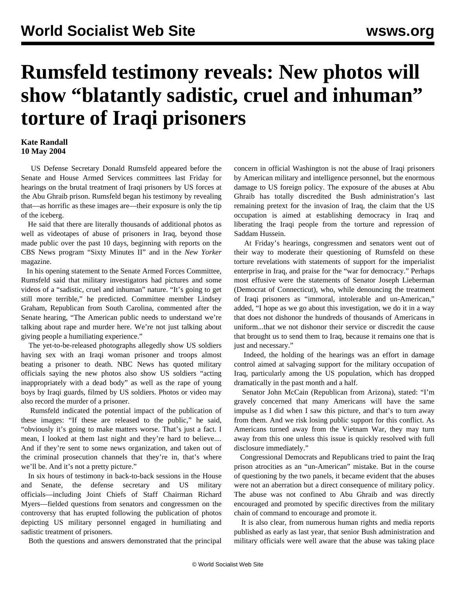## **Rumsfeld testimony reveals: New photos will show "blatantly sadistic, cruel and inhuman" torture of Iraqi prisoners**

## **Kate Randall 10 May 2004**

 US Defense Secretary Donald Rumsfeld appeared before the Senate and House Armed Services committees last Friday for hearings on the brutal treatment of Iraqi prisoners by US forces at the Abu Ghraib prison. Rumsfeld began his testimony by revealing that—as horrific as these images are—their exposure is only the tip of the iceberg.

 He said that there are literally thousands of additional photos as well as videotapes of abuse of prisoners in Iraq, beyond those made public over the past 10 days, beginning with reports on the CBS News program "Sixty Minutes II" and in the *New Yorker* magazine.

 In his opening statement to the Senate Armed Forces Committee, Rumsfeld said that military investigators had pictures and some videos of a "sadistic, cruel and inhuman" nature. "It's going to get still more terrible," he predicted. Committee member Lindsey Graham, Republican from South Carolina, commented after the Senate hearing, "The American public needs to understand we're talking about rape and murder here. We're not just talking about giving people a humiliating experience."

 The yet-to-be-released photographs allegedly show US soldiers having sex with an Iraqi woman prisoner and troops almost beating a prisoner to death. NBC News has quoted military officials saying the new photos also show US soldiers "acting inappropriately with a dead body" as well as the rape of young boys by Iraqi guards, filmed by US soldiers. Photos or video may also record the murder of a prisoner.

 Rumsfeld indicated the potential impact of the publication of these images: "If these are released to the public," he said, "obviously it's going to make matters worse. That's just a fact. I mean, I looked at them last night and they're hard to believe.... And if they're sent to some news organization, and taken out of the criminal prosecution channels that they're in, that's where we'll be. And it's not a pretty picture."

 In six hours of testimony in back-to-back sessions in the House and Senate, the defense secretary and US military officials—including Joint Chiefs of Staff Chairman Richard Myers—fielded questions from senators and congressmen on the controversy that has erupted following the publication of photos depicting US military personnel engaged in humiliating and sadistic treatment of prisoners.

Both the questions and answers demonstrated that the principal

concern in official Washington is not the abuse of Iraqi prisoners by American military and intelligence personnel, but the enormous damage to US foreign policy. The exposure of the abuses at Abu Ghraib has totally discredited the Bush administration's last remaining pretext for the invasion of Iraq, the claim that the US occupation is aimed at establishing democracy in Iraq and liberating the Iraqi people from the torture and repression of Saddam Hussein.

 At Friday's hearings, congressmen and senators went out of their way to moderate their questioning of Rumsfeld on these torture revelations with statements of support for the imperialist enterprise in Iraq, and praise for the "war for democracy." Perhaps most effusive were the statements of Senator Joseph Lieberman (Democrat of Connecticut), who, while denouncing the treatment of Iraqi prisoners as "immoral, intolerable and un-American," added, "I hope as we go about this investigation, we do it in a way that does not dishonor the hundreds of thousands of Americans in uniform...that we not dishonor their service or discredit the cause that brought us to send them to Iraq, because it remains one that is just and necessary."

 Indeed, the holding of the hearings was an effort in damage control aimed at salvaging support for the military occupation of Iraq, particularly among the US population, which has dropped dramatically in the past month and a half.

 Senator John McCain (Republican from Arizona), stated: "I'm gravely concerned that many Americans will have the same impulse as I did when I saw this picture, and that's to turn away from them. And we risk losing public support for this conflict. As Americans turned away from the Vietnam War, they may turn away from this one unless this issue is quickly resolved with full disclosure immediately."

 Congressional Democrats and Republicans tried to paint the Iraq prison atrocities as an "un-American" mistake. But in the course of questioning by the two panels, it became evident that the abuses were not an aberration but a direct consequence of military policy. The abuse was not confined to Abu Ghraib and was directly encouraged and promoted by specific directives from the military chain of command to encourage and promote it.

 It is also clear, from numerous human rights and media reports published as early as last year, that senior Bush administration and military officials were well aware that the abuse was taking place